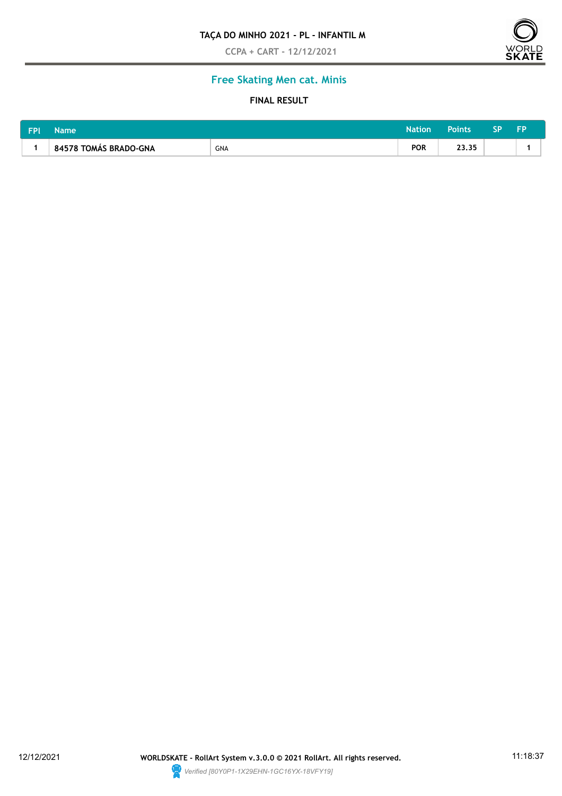### **TAÇA DO MINHO 2021 - PL - INFANTIL M**

**CCPA + CART - 12/12/2021**



# **Free Skating Men cat. Minis**

### **FINAL RESULT**

| <b>FPI</b> | Name                  | Nation' | Points     | ςp    | cn |  |  |
|------------|-----------------------|---------|------------|-------|----|--|--|
|            | 84578 TOMAS BRADO-GNA | GNA     | <b>POR</b> | 23,35 |    |  |  |